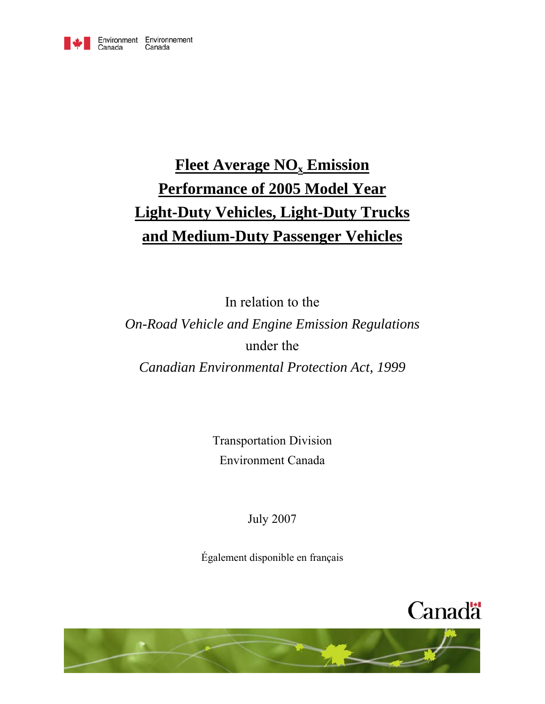

# **Fleet Average NO<sub>x</sub> Emission Performance of 2005 Model Year Light-Duty Vehicles, Light-Duty Trucks and Medium-Duty Passenger Vehicles**

In relation to the

*On-Road Vehicle and Engine Emission Regulations*  under the

*Canadian Environmental Protection Act, 1999* 

Transportation Division Environment Canada

July 2007

Également disponible en français



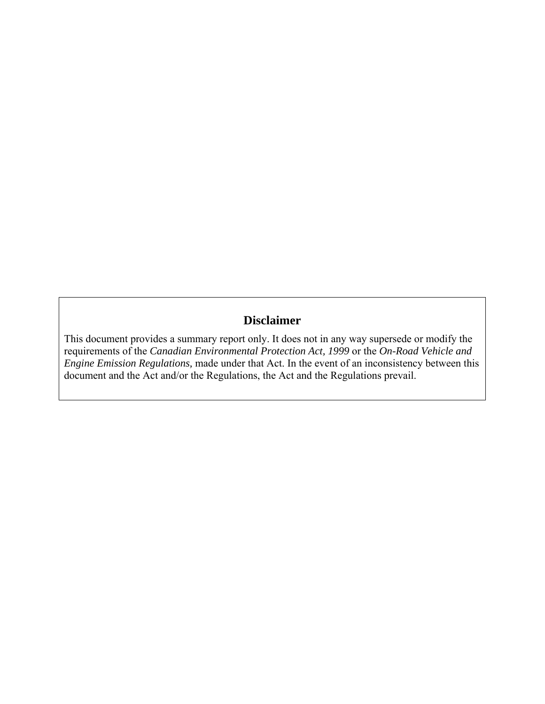# **Disclaimer**

This document provides a summary report only. It does not in any way supersede or modify the requirements of the *Canadian Environmental Protection Act, 1999* or the *On-Road Vehicle and Engine Emission Regulations,* made under that Act. In the event of an inconsistency between this document and the Act and/or the Regulations, the Act and the Regulations prevail.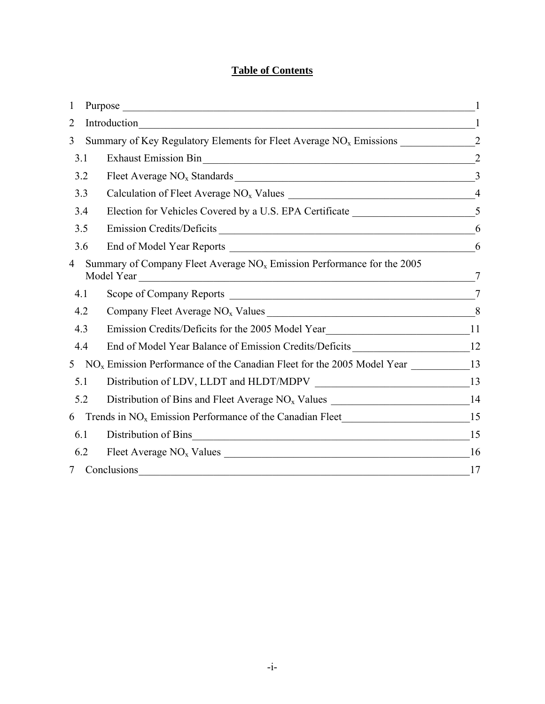# **Table of Contents**

| 1              |                                                                                               |                |
|----------------|-----------------------------------------------------------------------------------------------|----------------|
| 2              | Introduction<br><u> 1989 - Johann Barbara, martxa alemaniar a</u>                             |                |
| 3              |                                                                                               |                |
| 3.1            |                                                                                               | $\overline{2}$ |
| 3.2            |                                                                                               |                |
| 3.3            |                                                                                               |                |
| 3.4            |                                                                                               |                |
| 3.5            | Emission Credits/Deficits                                                                     | 6              |
| 3.6            |                                                                                               |                |
| $\overline{4}$ | Summary of Company Fleet Average $NOx$ Emission Performance for the 2005<br>Model Year        | 7              |
| 4.1            |                                                                                               | $\overline{7}$ |
| 4.2            |                                                                                               |                |
| 4.3            | Emission Credits/Deficits for the 2005 Model Year________________________________11           |                |
| 4.4            | End of Model Year Balance of Emission Credits/Deficits __________________________12           |                |
| 5 <sup>1</sup> | $NOx$ Emission Performance of the Canadian Fleet for the 2005 Model Year ________________13   |                |
| 5.1            |                                                                                               |                |
| 5.2            | Distribution of Bins and Fleet Average NO <sub>x</sub> Values _____________________________14 |                |
| 6              |                                                                                               |                |
| 6.1            | Distribution of Bins<br>15                                                                    |                |
| 6.2            |                                                                                               |                |
| $7\degree$     | Conclusions                                                                                   | 17             |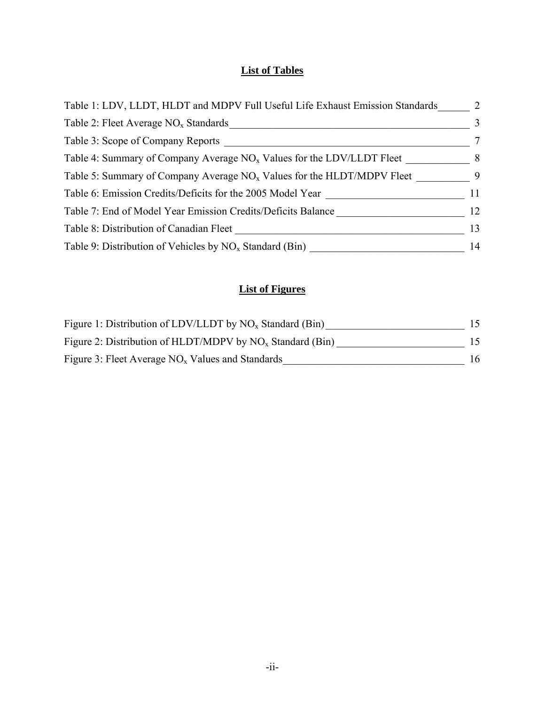# **List of Tables**

| Table 1: LDV, LLDT, HLDT and MDPV Full Useful Life Exhaust Emission Standards | 2              |
|-------------------------------------------------------------------------------|----------------|
| Table 2: Fleet Average $NOx$ Standards                                        | 3              |
| Table 3: Scope of Company Reports                                             | $\tau$         |
| Table 4: Summary of Company Average $NOx$ Values for the LDV/LLDT Fleet       | 8 <sup>8</sup> |
| Table 5: Summary of Company Average $NOx$ Values for the HLDT/MDPV Fleet      | $\overline{9}$ |
| Table 6: Emission Credits/Deficits for the 2005 Model Year                    | 11             |
| Table 7: End of Model Year Emission Credits/Deficits Balance                  | 12             |
| Table 8: Distribution of Canadian Fleet                                       | 13             |
| Table 9: Distribution of Vehicles by $NO_x$ Standard (Bin)                    | 14             |

# **List of Figures**

| Figure 1: Distribution of LDV/LLDT by $NO_x$ Standard (Bin)  |     |
|--------------------------------------------------------------|-----|
| Figure 2: Distribution of HLDT/MDPV by $NO_x$ Standard (Bin) | 15. |
| Figure 3: Fleet Average $NOx$ Values and Standards           | 16  |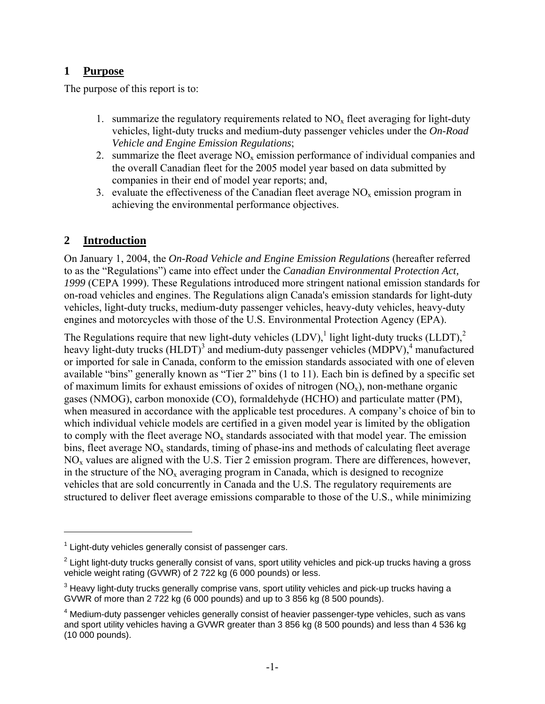## **1 Purpose**

The purpose of this report is to:

- 1. summarize the regulatory requirements related to  $NO<sub>x</sub>$  fleet averaging for light-duty vehicles, light-duty trucks and medium-duty passenger vehicles under the *On-Road Vehicle and Engine Emission Regulations*;
- 2. summarize the fleet average  $NO<sub>x</sub>$  emission performance of individual companies and the overall Canadian fleet for the 2005 model year based on data submitted by companies in their end of model year reports; and,
- 3. evaluate the effectiveness of the Canadian fleet average  $NO<sub>x</sub>$  emission program in achieving the environmental performance objectives.

## **2 Introduction**

1

On January 1, 2004, the *On-Road Vehicle and Engine Emission Regulations* (hereafter referred to as the "Regulations") came into effect under the *Canadian Environmental Protection Act, 1999* (CEPA 1999). These Regulations introduced more stringent national emission standards for on-road vehicles and engines. The Regulations align Canada's emission standards for light-duty vehicles, light-duty trucks, medium-duty passenger vehicles, heavy-duty vehicles, heavy-duty engines and motorcycles with those of the U.S. Environmental Protection Agency (EPA).

The Regulations require that new light-duty vehicles  $(LDV)$ , light light-duty trucks  $(LLDT)$ ,  $2$ heavy light-duty trucks (HLDT)<sup>3</sup> and medium-duty passenger vehicles (MDPV),<sup>4</sup> manufactured or imported for sale in Canada, conform to the emission standards associated with one of eleven available "bins" generally known as "Tier 2" bins (1 to 11). Each bin is defined by a specific set of maximum limits for exhaust emissions of oxides of nitrogen  $(NO_x)$ , non-methane organic gases (NMOG), carbon monoxide (CO), formaldehyde (HCHO) and particulate matter (PM), when measured in accordance with the applicable test procedures. A company's choice of bin to which individual vehicle models are certified in a given model year is limited by the obligation to comply with the fleet average  $NO<sub>x</sub>$  standards associated with that model year. The emission bins, fleet average  $NO<sub>x</sub>$  standards, timing of phase-ins and methods of calculating fleet average NOx values are aligned with the U.S. Tier 2 emission program. There are differences, however, in the structure of the  $NO<sub>x</sub>$  averaging program in Canada, which is designed to recognize vehicles that are sold concurrently in Canada and the U.S. The regulatory requirements are structured to deliver fleet average emissions comparable to those of the U.S., while minimizing

 $1$  Light-duty vehicles generally consist of passenger cars.

 $2$  Light light-duty trucks generally consist of vans, sport utility vehicles and pick-up trucks having a gross vehicle weight rating (GVWR) of 2 722 kg (6 000 pounds) or less.

 $^3$  Heavy light-duty trucks generally comprise vans, sport utility vehicles and pick-up trucks having a GVWR of more than 2 722 kg (6 000 pounds) and up to 3 856 kg (8 500 pounds).

 $<sup>4</sup>$  Medium-duty passenger vehicles generally consist of heavier passenger-type vehicles, such as vans</sup> and sport utility vehicles having a GVWR greater than 3 856 kg (8 500 pounds) and less than 4 536 kg (10 000 pounds).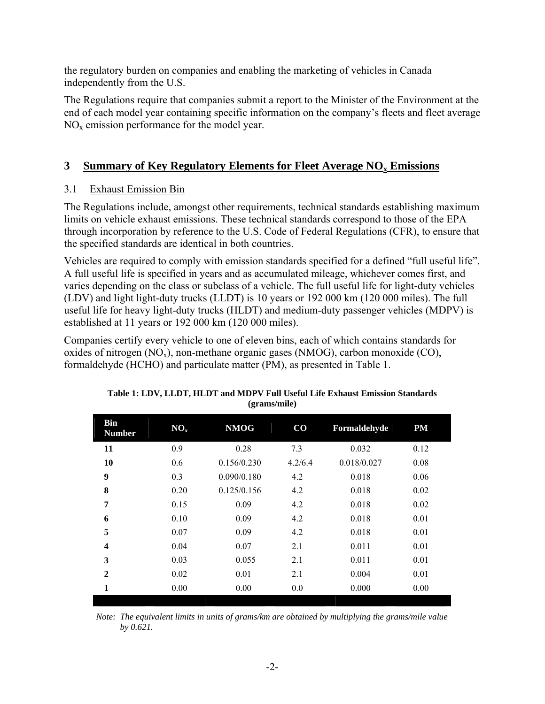the regulatory burden on companies and enabling the marketing of vehicles in Canada independently from the U.S.

The Regulations require that companies submit a report to the Minister of the Environment at the end of each model year containing specific information on the company's fleets and fleet average  $NO<sub>x</sub>$  emission performance for the model year.

# **3** Summary of Key Regulatory Elements for Fleet Average NO<sub>x</sub> Emissions

## 3.1 Exhaust Emission Bin

The Regulations include, amongst other requirements, technical standards establishing maximum limits on vehicle exhaust emissions. These technical standards correspond to those of the EPA through incorporation by reference to the U.S. Code of Federal Regulations (CFR), to ensure that the specified standards are identical in both countries.

Vehicles are required to comply with emission standards specified for a defined "full useful life". A full useful life is specified in years and as accumulated mileage, whichever comes first, and varies depending on the class or subclass of a vehicle. The full useful life for light-duty vehicles (LDV) and light light-duty trucks (LLDT) is 10 years or 192 000 km (120 000 miles). The full useful life for heavy light-duty trucks (HLDT) and medium-duty passenger vehicles (MDPV) is established at 11 years or 192 000 km (120 000 miles).

Companies certify every vehicle to one of eleven bins, each of which contains standards for oxides of nitrogen  $(NO_x)$ , non-methane organic gases  $(NMOG)$ , carbon monoxide  $(CO)$ , formaldehyde (HCHO) and particulate matter (PM), as presented in Table 1.

| <b>Bin</b><br><b>Number</b> | NO <sub>x</sub> | <b>NMOG</b> | $\bf CO$ | Formaldehyde | PM   |  |
|-----------------------------|-----------------|-------------|----------|--------------|------|--|
| 11                          | 0.9             | 0.28        | 7.3      | 0.032        | 0.12 |  |
| 10                          | 0.6             | 0.156/0.230 | 4.2/6.4  | 0.018/0.027  | 0.08 |  |
| 9                           | 0.3             | 0.090/0.180 | 4.2      | 0.018        | 0.06 |  |
| $\bf{8}$                    | 0.20            | 0.125/0.156 | 4.2      | 0.018        | 0.02 |  |
| 7                           | 0.15            | 0.09        | 4.2      | 0.018        | 0.02 |  |
| 6                           | 0.10            | 0.09        | 4.2      | 0.018        | 0.01 |  |
| 5                           | 0.07            | 0.09        | 4.2      | 0.018        | 0.01 |  |
| $\overline{\mathbf{4}}$     | 0.04            | 0.07        | 2.1      | 0.011        | 0.01 |  |
| 3                           | 0.03            | 0.055       | 2.1      | 0.011        | 0.01 |  |
| $\overline{2}$              | 0.02            | 0.01        | 2.1      | 0.004        | 0.01 |  |
| 1                           | 0.00            | 0.00        | 0.0      | 0.000        | 0.00 |  |

| Table 1: LDV, LLDT, HLDT and MDPV Full Useful Life Exhaust Emission Standards |
|-------------------------------------------------------------------------------|
| (grams/mile)                                                                  |

*Note: The equivalent limits in units of grams/km are obtained by multiplying the grams/mile value by 0.621.*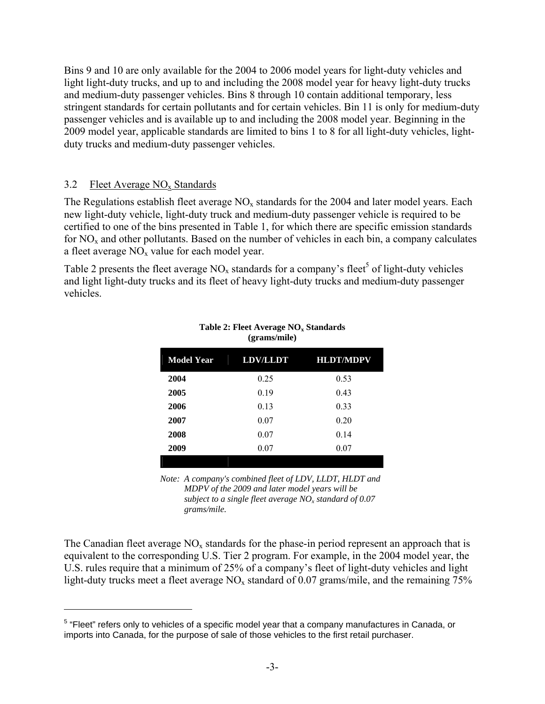Bins 9 and 10 are only available for the 2004 to 2006 model years for light-duty vehicles and light light-duty trucks, and up to and including the 2008 model year for heavy light-duty trucks and medium-duty passenger vehicles. Bins 8 through 10 contain additional temporary, less stringent standards for certain pollutants and for certain vehicles. Bin 11 is only for medium-duty passenger vehicles and is available up to and including the 2008 model year. Beginning in the 2009 model year, applicable standards are limited to bins 1 to 8 for all light-duty vehicles, lightduty trucks and medium-duty passenger vehicles.

### 3.2 Fleet Average  $NO<sub>x</sub>$  Standards

 $\overline{a}$ 

The Regulations establish fleet average  $NO<sub>x</sub>$  standards for the 2004 and later model years. Each new light-duty vehicle, light-duty truck and medium-duty passenger vehicle is required to be certified to one of the bins presented in Table 1, for which there are specific emission standards for  $NO<sub>x</sub>$  and other pollutants. Based on the number of vehicles in each bin, a company calculates a fleet average  $NO<sub>x</sub>$  value for each model year.

Table 2 presents the fleet average  $NO_x$  standards for a company's fleet<sup>5</sup> of light-duty vehicles and light light-duty trucks and its fleet of heavy light-duty trucks and medium-duty passenger vehicles.

| <b>Model Year</b> | <b>LDV/LLDT</b> | <b>HLDT/MDPV</b> |
|-------------------|-----------------|------------------|
| 2004              | 0.25            | 0.53             |
| 2005              | 0.19            | 0.43             |
| 2006              | 0.13            | 0.33             |
| 2007              | 0.07            | 0.20             |
| 2008              | 0.07            | 0.14             |
| 2009              | 0.07            | 0.07             |
|                   |                 |                  |

#### Table 2: Fleet Average NO<sub>x</sub> Standards **(grams/mile)**

*Note: A company's combined fleet of LDV, LLDT, HLDT and MDPV of the 2009 and later model years will be subject to a single fleet average NOx standard of 0.07 grams/mile.*

The Canadian fleet average  $NO<sub>x</sub>$  standards for the phase-in period represent an approach that is equivalent to the corresponding U.S. Tier 2 program. For example, in the 2004 model year, the U.S. rules require that a minimum of 25% of a company's fleet of light-duty vehicles and light light-duty trucks meet a fleet average  $NO<sub>x</sub>$  standard of 0.07 grams/mile, and the remaining 75%

<sup>&</sup>lt;sup>5</sup> "Fleet" refers only to vehicles of a specific model year that a company manufactures in Canada, or imports into Canada, for the purpose of sale of those vehicles to the first retail purchaser.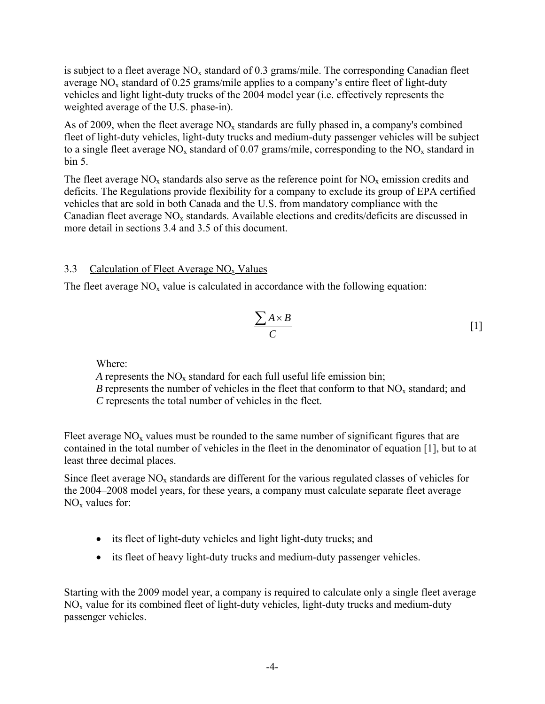is subject to a fleet average  $NO_x$  standard of 0.3 grams/mile. The corresponding Canadian fleet average  $NO<sub>x</sub>$  standard of 0.25 grams/mile applies to a company's entire fleet of light-duty vehicles and light light-duty trucks of the 2004 model year (i.e. effectively represents the weighted average of the U.S. phase-in).

As of 2009, when the fleet average  $NO<sub>x</sub>$  standards are fully phased in, a company's combined fleet of light-duty vehicles, light-duty trucks and medium-duty passenger vehicles will be subject to a single fleet average  $NO_x$  standard of 0.07 grams/mile, corresponding to the  $NO_x$  standard in bin 5.

The fleet average  $NO_x$  standards also serve as the reference point for  $NO_x$  emission credits and deficits. The Regulations provide flexibility for a company to exclude its group of EPA certified vehicles that are sold in both Canada and the U.S. from mandatory compliance with the Canadian fleet average  $NO<sub>x</sub>$  standards. Available elections and credits/deficits are discussed in more detail in sections 3.4 and 3.5 of this document.

### 3.3 Calculation of Fleet Average  $NO<sub>x</sub>$  Values

The fleet average  $NO<sub>x</sub>$  value is calculated in accordance with the following equation:

$$
\frac{\sum A \times B}{C} \tag{1}
$$

Where:

*A* represents the  $NO<sub>x</sub>$  standard for each full useful life emission bin; *B* represents the number of vehicles in the fleet that conform to that  $NO<sub>x</sub>$  standard; and  *C* represents the total number of vehicles in the fleet.

Fleet average  $NO<sub>x</sub>$  values must be rounded to the same number of significant figures that are contained in the total number of vehicles in the fleet in the denominator of equation [1], but to at least three decimal places.

Since fleet average  $NO<sub>x</sub>$  standards are different for the various regulated classes of vehicles for the 2004–2008 model years, for these years, a company must calculate separate fleet average  $NO<sub>x</sub>$  values for:

- its fleet of light-duty vehicles and light light-duty trucks; and
- its fleet of heavy light-duty trucks and medium-duty passenger vehicles.

Starting with the 2009 model year, a company is required to calculate only a single fleet average  $NO<sub>x</sub>$  value for its combined fleet of light-duty vehicles, light-duty trucks and medium-duty passenger vehicles.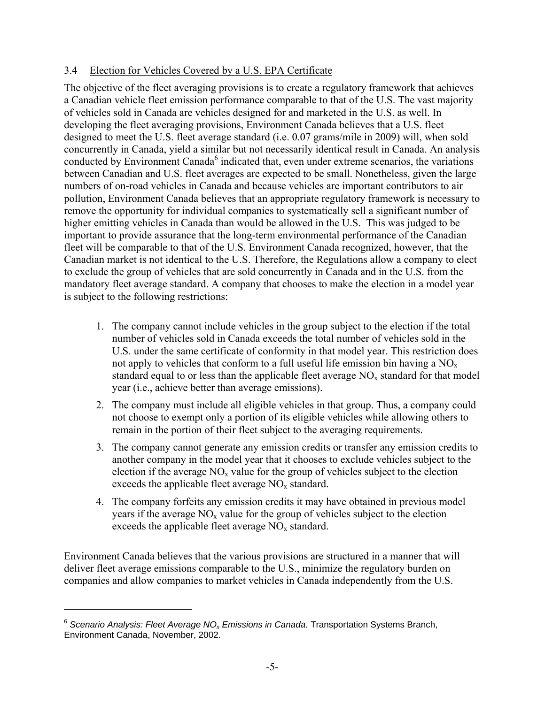## 3.4 Election for Vehicles Covered by a U.S. EPA Certificate

The objective of the fleet averaging provisions is to create a regulatory framework that achieves a Canadian vehicle fleet emission performance comparable to that of the U.S. The vast majority of vehicles sold in Canada are vehicles designed for and marketed in the U.S. as well. In developing the fleet averaging provisions, Environment Canada believes that a U.S. fleet designed to meet the U.S. fleet average standard (i.e. 0.07 grams/mile in 2009) will, when sold concurrently in Canada, yield a similar but not necessarily identical result in Canada. An analysis conducted by Environment Canada<sup>6</sup> indicated that, even under extreme scenarios, the variations between Canadian and U.S. fleet averages are expected to be small. Nonetheless, given the large numbers of on-road vehicles in Canada and because vehicles are important contributors to air pollution, Environment Canada believes that an appropriate regulatory framework is necessary to remove the opportunity for individual companies to systematically sell a significant number of higher emitting vehicles in Canada than would be allowed in the U.S. This was judged to be important to provide assurance that the long-term environmental performance of the Canadian fleet will be comparable to that of the U.S. Environment Canada recognized, however, that the Canadian market is not identical to the U.S. Therefore, the Regulations allow a company to elect to exclude the group of vehicles that are sold concurrently in Canada and in the U.S. from the mandatory fleet average standard. A company that chooses to make the election in a model year is subject to the following restrictions:

- 1. The company cannot include vehicles in the group subject to the election if the total number of vehicles sold in Canada exceeds the total number of vehicles sold in the U.S. under the same certificate of conformity in that model year. This restriction does not apply to vehicles that conform to a full useful life emission bin having a  $NO<sub>x</sub>$ standard equal to or less than the applicable fleet average  $NO<sub>x</sub>$  standard for that model year (i.e., achieve better than average emissions).
- 2. The company must include all eligible vehicles in that group. Thus, a company could not choose to exempt only a portion of its eligible vehicles while allowing others to remain in the portion of their fleet subject to the averaging requirements.
- 3. The company cannot generate any emission credits or transfer any emission credits to another company in the model year that it chooses to exclude vehicles subject to the election if the average  $NO<sub>x</sub>$  value for the group of vehicles subject to the election exceeds the applicable fleet average  $NO<sub>x</sub>$  standard.
- 4. The company forfeits any emission credits it may have obtained in previous model years if the average  $NO<sub>x</sub>$  value for the group of vehicles subject to the election exceeds the applicable fleet average  $NO<sub>x</sub>$  standard.

Environment Canada believes that the various provisions are structured in a manner that will deliver fleet average emissions comparable to the U.S., minimize the regulatory burden on companies and allow companies to market vehicles in Canada independently from the U.S.

 $\overline{a}$ 

<sup>&</sup>lt;sup>6</sup> Scenario Analysis: Fleet Average NO<sub>x</sub> Emissions in Canada. Transportation Systems Branch, Environment Canada, November, 2002.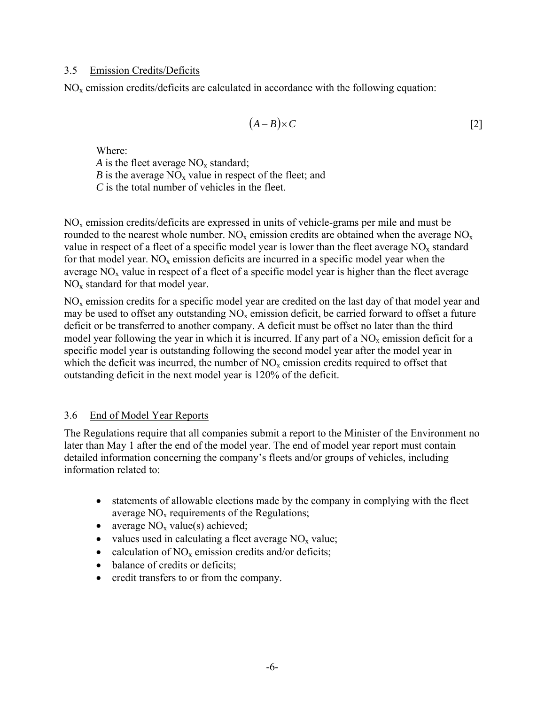#### 3.5 Emission Credits/Deficits

 $NO<sub>x</sub>$  emission credits/deficits are calculated in accordance with the following equation:

$$
(A-B)\times C \tag{2}
$$

Where:

*A* is the fleet average  $NO_x$  standard; *B* is the average  $NO<sub>x</sub>$  value in respect of the fleet; and

*C* is the total number of vehicles in the fleet.

NOx emission credits/deficits are expressed in units of vehicle-grams per mile and must be rounded to the nearest whole number.  $NO_x$  emission credits are obtained when the average  $NO_x$ value in respect of a fleet of a specific model year is lower than the fleet average  $NO<sub>x</sub>$  standard for that model year.  $NO<sub>x</sub>$  emission deficits are incurred in a specific model year when the average  $NO<sub>x</sub>$  value in respect of a fleet of a specific model year is higher than the fleet average  $NO<sub>x</sub>$  standard for that model year.

 $NO<sub>x</sub>$  emission credits for a specific model year are credited on the last day of that model year and may be used to offset any outstanding  $NO<sub>x</sub>$  emission deficit, be carried forward to offset a future deficit or be transferred to another company. A deficit must be offset no later than the third model year following the year in which it is incurred. If any part of a  $NO<sub>x</sub>$  emission deficit for a specific model year is outstanding following the second model year after the model year in which the deficit was incurred, the number of  $NO<sub>x</sub>$  emission credits required to offset that outstanding deficit in the next model year is 120% of the deficit.

### 3.6 End of Model Year Reports

The Regulations require that all companies submit a report to the Minister of the Environment no later than May 1 after the end of the model year. The end of model year report must contain detailed information concerning the company's fleets and/or groups of vehicles, including information related to:

- statements of allowable elections made by the company in complying with the fleet average  $NO<sub>x</sub>$  requirements of the Regulations;
- average  $NO<sub>x</sub>$  value(s) achieved;
- values used in calculating a fleet average  $NO<sub>x</sub>$  value;
- calculation of  $NO<sub>x</sub>$  emission credits and/or deficits;
- balance of credits or deficits;
- credit transfers to or from the company.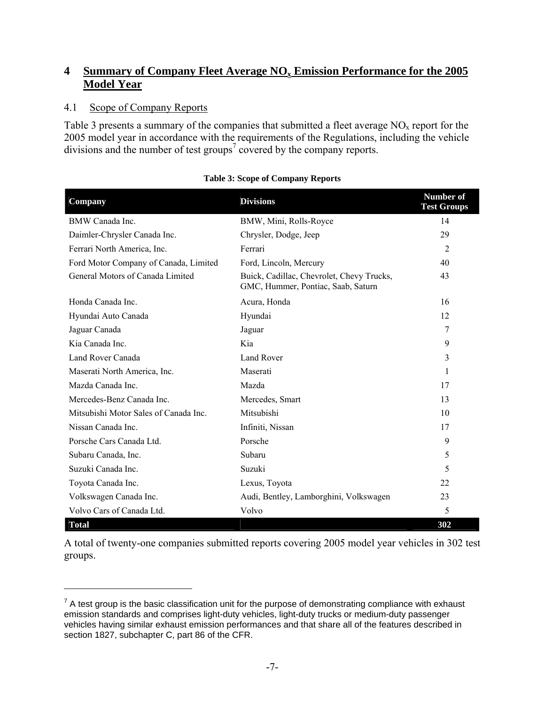## **4 Summary of Company Fleet Average NOx Emission Performance for the 2005 Model Year**

## 4.1 Scope of Company Reports

 $\overline{a}$ 

Table 3 presents a summary of the companies that submitted a fleet average  $NO<sub>x</sub>$  report for the 2005 model year in accordance with the requirements of the Regulations, including the vehicle divisions and the number of test groups<sup>7</sup> covered by the company reports.

| Company                               | <b>Divisions</b>                                                                | <b>Number of</b><br><b>Test Groups</b> |
|---------------------------------------|---------------------------------------------------------------------------------|----------------------------------------|
| BMW Canada Inc.                       | BMW, Mini, Rolls-Royce                                                          | 14                                     |
| Daimler-Chrysler Canada Inc.          | Chrysler, Dodge, Jeep                                                           | 29                                     |
| Ferrari North America, Inc.           | Ferrari                                                                         | $\overline{2}$                         |
| Ford Motor Company of Canada, Limited | Ford, Lincoln, Mercury                                                          | 40                                     |
| General Motors of Canada Limited      | Buick, Cadillac, Chevrolet, Chevy Trucks,<br>GMC, Hummer, Pontiac, Saab, Saturn | 43                                     |
| Honda Canada Inc.                     | Acura, Honda                                                                    | 16                                     |
| Hyundai Auto Canada                   | Hyundai                                                                         | 12                                     |
| Jaguar Canada                         | Jaguar                                                                          | 7                                      |
| Kia Canada Inc.                       | Kia                                                                             | 9                                      |
| Land Rover Canada                     | Land Rover                                                                      | 3                                      |
| Maserati North America, Inc.          | Maserati                                                                        | 1                                      |
| Mazda Canada Inc.                     | Mazda                                                                           | 17                                     |
| Mercedes-Benz Canada Inc.             | Mercedes, Smart                                                                 | 13                                     |
| Mitsubishi Motor Sales of Canada Inc. | Mitsubishi                                                                      | 10                                     |
| Nissan Canada Inc.                    | Infiniti, Nissan                                                                | 17                                     |
| Porsche Cars Canada Ltd.              | Porsche                                                                         | 9                                      |
| Subaru Canada, Inc.                   | Subaru                                                                          | 5                                      |
| Suzuki Canada Inc.                    | Suzuki                                                                          | 5                                      |
| Toyota Canada Inc.                    | Lexus, Toyota                                                                   | 22                                     |
| Volkswagen Canada Inc.                | Audi, Bentley, Lamborghini, Volkswagen                                          | 23                                     |
| Volvo Cars of Canada Ltd.             | Volvo                                                                           | 5                                      |
| <b>Total</b>                          |                                                                                 | 302                                    |

#### **Table 3: Scope of Company Reports**

A total of twenty-one companies submitted reports covering 2005 model year vehicles in 302 test groups.

 $7$  A test group is the basic classification unit for the purpose of demonstrating compliance with exhaust emission standards and comprises light-duty vehicles, light-duty trucks or medium-duty passenger vehicles having similar exhaust emission performances and that share all of the features described in section 1827, subchapter C, part 86 of the CFR.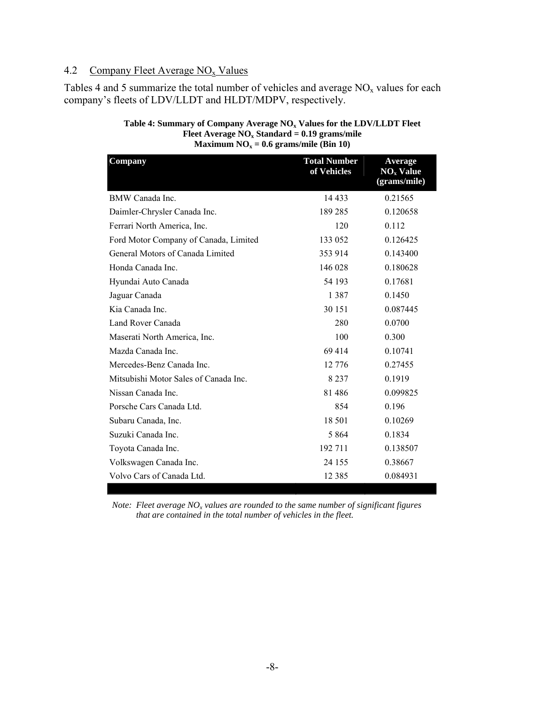#### 4.2 Company Fleet Average  $NO<sub>x</sub>$  Values

Tables 4 and 5 summarize the total number of vehicles and average  $NO<sub>x</sub>$  values for each company's fleets of LDV/LLDT and HLDT/MDPV, respectively.

| Company                               | <b>Total Number</b><br>of Vehicles | Average<br>$NOx$ Value<br>(grams/mile) |
|---------------------------------------|------------------------------------|----------------------------------------|
| BMW Canada Inc.                       | 14 4 33                            | 0.21565                                |
| Daimler-Chrysler Canada Inc.          | 189 285                            | 0.120658                               |
| Ferrari North America, Inc.           | 120                                | 0.112                                  |
| Ford Motor Company of Canada, Limited | 133 052                            | 0.126425                               |
| General Motors of Canada Limited      | 353 914                            | 0.143400                               |
| Honda Canada Inc.                     | 146 028                            | 0.180628                               |
| Hyundai Auto Canada                   | 54 193                             | 0.17681                                |
| Jaguar Canada                         | 1 3 8 7                            | 0.1450                                 |
| Kia Canada Inc.                       | 30 151                             | 0.087445                               |
| Land Rover Canada                     | 280                                | 0.0700                                 |
| Maserati North America, Inc.          | 100                                | 0.300                                  |
| Mazda Canada Inc.                     | 69414                              | 0.10741                                |
| Mercedes-Benz Canada Inc.             | 12 776                             | 0.27455                                |
| Mitsubishi Motor Sales of Canada Inc. | 8 2 3 7                            | 0.1919                                 |
| Nissan Canada Inc.                    | 81486                              | 0.099825                               |
| Porsche Cars Canada Ltd.              | 854                                | 0.196                                  |
| Subaru Canada, Inc.                   | 18 501                             | 0.10269                                |
| Suzuki Canada Inc.                    | 5 8 6 4                            | 0.1834                                 |
| Toyota Canada Inc.                    | 192 711                            | 0.138507                               |
| Volkswagen Canada Inc.                | 24 155                             | 0.38667                                |
| Volvo Cars of Canada Ltd.             | 12 3 8 5                           | 0.084931                               |

#### Table 4: Summary of Company Average NO<sub>x</sub> Values for the LDV/LLDT Fleet **Fleet Average NOx Standard = 0.19 grams/mile Maximum**  $NO_x = 0.6$  **grams/mile (Bin 10)**

*Note: Fleet average NO<sub>x</sub> values are rounded to the same number of significant figures that are contained in the total number of vehicles in the fleet.*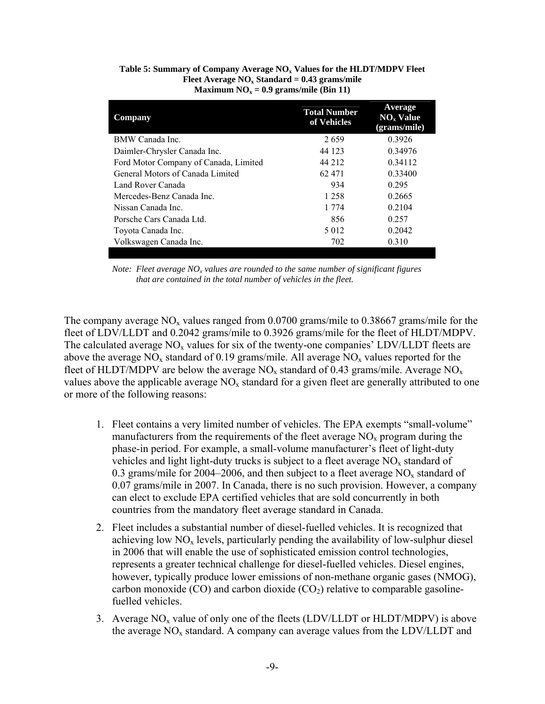| <b>Company</b>                        | <b>Total Number</b><br>of Vehicles | Average<br>$NOx$ Value<br>(grams/mile) |
|---------------------------------------|------------------------------------|----------------------------------------|
| BMW Canada Inc.                       | 2659                               | 0.3926                                 |
| Daimler-Chrysler Canada Inc.          | 44 123                             | 0.34976                                |
| Ford Motor Company of Canada, Limited | 44 212                             | 0.34112                                |
| General Motors of Canada Limited      | 62471                              | 0.33400                                |
| Land Rover Canada                     | 934                                | 0.295                                  |
| Mercedes-Benz Canada Inc.             | 1 2 5 8                            | 0.2665                                 |
| Nissan Canada Inc.                    | 1 7 7 4                            | 0.2104                                 |
| Porsche Cars Canada Ltd.              | 856                                | 0.257                                  |
| Toyota Canada Inc.                    | 5 0 1 2                            | 0.2042                                 |
| Volkswagen Canada Inc.                | 702                                | 0.310                                  |

#### Table 5: Summary of Company Average NO<sub>x</sub> Values for the HLDT/MDPV Fleet Fleet Average NO<sub>x</sub> Standard = 0.43 grams/mile Maximum  $NO<sub>x</sub> = 0.9$  grams/mile (Bin 11)

The company average  $NO<sub>x</sub>$  values ranged from 0.0700 grams/mile to 0.38667 grams/mile for the fleet of LDV/LLDT and 0.2042 grams/mile to 0.3926 grams/mile for the fleet of HLDT/MDPV. The calculated average  $NO<sub>x</sub>$  values for six of the twenty-one companies' LDV/LLDT fleets are above the average  $NO_x$  standard of 0.19 grams/mile. All average  $NO_x$  values reported for the fleet of HLDT/MDPV are below the average  $NO_x$  standard of 0.43 grams/mile. Average  $NO_x$ values above the applicable average  $NO<sub>x</sub>$  standard for a given fleet are generally attributed to one or more of the following reasons:

- 1. Fleet contains a very limited number of vehicles. The EPA exempts "small-volume" manufacturers from the requirements of the fleet average  $NO<sub>x</sub>$  program during the phase-in period. For example, a small-volume manufacturer's fleet of light-duty vehicles and light light-duty trucks is subject to a fleet average  $NO<sub>x</sub>$  standard of 0.3 grams/mile for 2004–2006, and then subject to a fleet average  $NO<sub>x</sub>$  standard of 0.07 grams/mile in 2007. In Canada, there is no such provision. However, a company can elect to exclude EPA certified vehicles that are sold concurrently in both countries from the mandatory fleet average standard in Canada.
- 2. Fleet includes a substantial number of diesel-fuelled vehicles. It is recognized that achieving low  $NO<sub>x</sub>$  levels, particularly pending the availability of low-sulphur diesel in 2006 that will enable the use of sophisticated emission control technologies, represents a greater technical challenge for diesel-fuelled vehicles. Diesel engines, however, typically produce lower emissions of non-methane organic gases (NMOG), carbon monoxide (CO) and carbon dioxide (CO<sub>2</sub>) relative to comparable gasolinefuelled vehicles.
- 3. Average  $NO<sub>x</sub>$  value of only one of the fleets (LDV/LLDT or HLDT/MDPV) is above the average  $NO<sub>x</sub>$  standard. A company can average values from the LDV/LLDT and

*Note: Fleet average NO<sub>x</sub> values are rounded to the same number of significant figures that are contained in the total number of vehicles in the fleet.*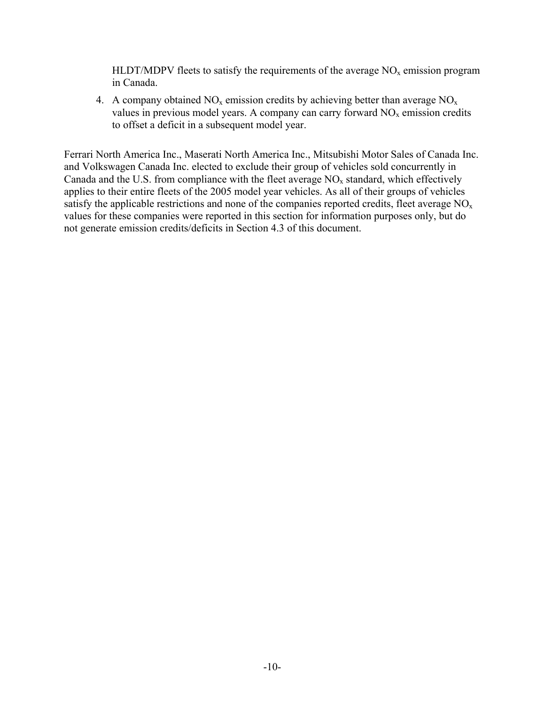HLDT/MDPV fleets to satisfy the requirements of the average  $NO<sub>x</sub>$  emission program in Canada.

4. A company obtained  $NO_x$  emission credits by achieving better than average  $NO_x$ values in previous model years. A company can carry forward  $NO<sub>x</sub>$  emission credits to offset a deficit in a subsequent model year.

Ferrari North America Inc., Maserati North America Inc., Mitsubishi Motor Sales of Canada Inc. and Volkswagen Canada Inc. elected to exclude their group of vehicles sold concurrently in Canada and the U.S. from compliance with the fleet average  $NO<sub>x</sub>$  standard, which effectively applies to their entire fleets of the 2005 model year vehicles. As all of their groups of vehicles satisfy the applicable restrictions and none of the companies reported credits, fleet average  $NO<sub>x</sub>$ values for these companies were reported in this section for information purposes only, but do not generate emission credits/deficits in Section 4.3 of this document.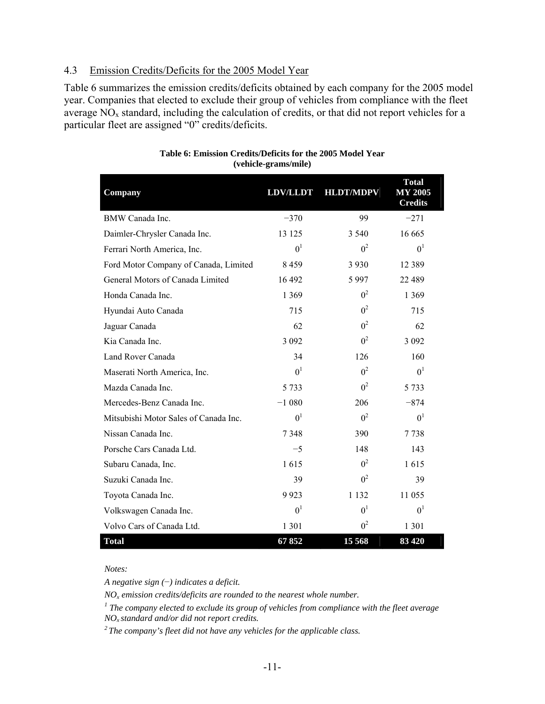#### 4.3 Emission Credits/Deficits for the 2005 Model Year

Table 6 summarizes the emission credits/deficits obtained by each company for the 2005 model year. Companies that elected to exclude their group of vehicles from compliance with the fleet average  $NO<sub>x</sub>$  standard, including the calculation of credits, or that did not report vehicles for a particular fleet are assigned "0" credits/deficits.

| Company                               | <b>LDV/LLDT</b> | <b>HLDT/MDPV</b> | <b>Total</b><br><b>MY 2005</b><br><b>Credits</b> |
|---------------------------------------|-----------------|------------------|--------------------------------------------------|
| BMW Canada Inc.                       | $-370$          | 99               | $-271$                                           |
| Daimler-Chrysler Canada Inc.          | 13 125          | 3 5 4 0          | 16 665                                           |
| Ferrari North America, Inc.           | 0 <sup>1</sup>  | 0 <sup>2</sup>   | 0 <sup>1</sup>                                   |
| Ford Motor Company of Canada, Limited | 8459            | 3 9 3 0          | 12 3 8 9                                         |
| General Motors of Canada Limited      | 16 492          | 5997             | 22 489                                           |
| Honda Canada Inc.                     | 1 3 6 9         | 0 <sup>2</sup>   | 1 3 6 9                                          |
| Hyundai Auto Canada                   | 715             | 0 <sup>2</sup>   | 715                                              |
| Jaguar Canada                         | 62              | 0 <sup>2</sup>   | 62                                               |
| Kia Canada Inc.                       | 3 0 9 2         | 0 <sup>2</sup>   | 3 0 9 2                                          |
| Land Rover Canada                     | 34              | 126              | 160                                              |
| Maserati North America, Inc.          | 0 <sup>1</sup>  | 0 <sup>2</sup>   | 0 <sup>1</sup>                                   |
| Mazda Canada Inc.                     | 5 7 3 3         | 0 <sup>2</sup>   | 5 7 3 3                                          |
| Mercedes-Benz Canada Inc.             | $-1080$         | 206              | $-874$                                           |
| Mitsubishi Motor Sales of Canada Inc. | 0 <sup>1</sup>  | 0 <sup>2</sup>   | 0 <sup>1</sup>                                   |
| Nissan Canada Inc.                    | 7348            | 390              | 7738                                             |
| Porsche Cars Canada Ltd.              | $-5$            | 148              | 143                                              |
| Subaru Canada, Inc.                   | 1615            | 0 <sup>2</sup>   | 1615                                             |
| Suzuki Canada Inc.                    | 39              | 0 <sup>2</sup>   | 39                                               |
| Toyota Canada Inc.                    | 9923            | 1 1 3 2          | 11 055                                           |
| Volkswagen Canada Inc.                | 0 <sup>1</sup>  | 0 <sup>1</sup>   | 0 <sup>1</sup>                                   |
| Volvo Cars of Canada Ltd.             | 1 3 0 1         | 0 <sup>2</sup>   | 1 3 0 1                                          |
| <b>Total</b>                          | 67852           | 15 5 68          | 83 4 20                                          |

#### **Table 6: Emission Credits/Deficits for the 2005 Model Year (vehicle-grams/mile)**

*Notes:* 

*A negative sign (*−*) indicates a deficit.* 

 $NO<sub>x</sub>$  emission credits/deficits are rounded to the nearest whole number.

<sup>*I*</sup> The company elected to exclude its group of vehicles from compliance with the fleet average  $NO<sub>x</sub>$  standard and/or did not report credits.

<sup>2</sup> The company's fleet did not have any vehicles for the applicable class.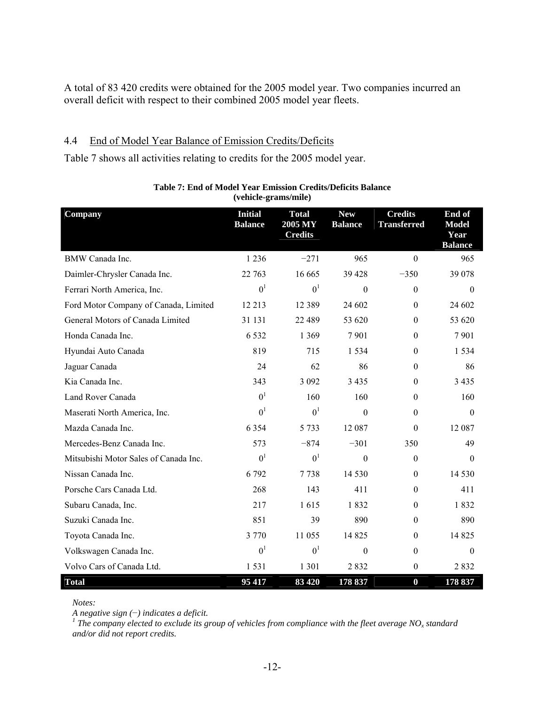A total of 83 420 credits were obtained for the 2005 model year. Two companies incurred an overall deficit with respect to their combined 2005 model year fleets.

#### 4.4 End of Model Year Balance of Emission Credits/Deficits

Table 7 shows all activities relating to credits for the 2005 model year.

| Company                               | <b>Initial</b><br><b>Balance</b> | <b>Total</b><br>2005 MY<br><b>Credits</b> | <b>New</b><br><b>Balance</b> | <b>Credits</b><br><b>Transferred</b> | End of<br><b>Model</b><br>Year<br><b>Balance</b> |
|---------------------------------------|----------------------------------|-------------------------------------------|------------------------------|--------------------------------------|--------------------------------------------------|
| <b>BMW</b> Canada Inc.                | 1 2 3 6                          | $-271$                                    | 965                          | $\mathbf{0}$                         | 965                                              |
| Daimler-Chrysler Canada Inc.          | 22 763                           | 16 665                                    | 39 4 28                      | $-350$                               | 39 078                                           |
| Ferrari North America, Inc.           | 0 <sup>1</sup>                   | 0 <sup>1</sup>                            | $\Omega$                     | $\boldsymbol{0}$                     | $\theta$                                         |
| Ford Motor Company of Canada, Limited | 12 213                           | 12 3 8 9                                  | 24 602                       | $\mathbf{0}$                         | 24 602                                           |
| General Motors of Canada Limited      | 31 131                           | 22 489                                    | 53 620                       | $\boldsymbol{0}$                     | 53 620                                           |
| Honda Canada Inc.                     | 6 5 3 2                          | 1 3 6 9                                   | 7901                         | $\boldsymbol{0}$                     | 7901                                             |
| Hyundai Auto Canada                   | 819                              | 715                                       | 1 5 3 4                      | $\theta$                             | 1 5 3 4                                          |
| Jaguar Canada                         | 24                               | 62                                        | 86                           | $\theta$                             | 86                                               |
| Kia Canada Inc.                       | 343                              | 3 0 9 2                                   | 3 4 3 5                      | $\boldsymbol{0}$                     | 3 4 3 5                                          |
| Land Rover Canada                     | 0 <sup>1</sup>                   | 160                                       | 160                          | $\boldsymbol{0}$                     | 160                                              |
| Maserati North America, Inc.          | 0 <sup>1</sup>                   | 0 <sup>1</sup>                            | $\Omega$                     | $\mathbf{0}$                         | $\Omega$                                         |
| Mazda Canada Inc.                     | 6 3 5 4                          | 5 7 3 3                                   | 12 087                       | $\mathbf{0}$                         | 12 087                                           |
| Mercedes-Benz Canada Inc.             | 573                              | $-874$                                    | $-301$                       | 350                                  | 49                                               |
| Mitsubishi Motor Sales of Canada Inc. | 0 <sup>1</sup>                   | 0 <sup>1</sup>                            | $\theta$                     | $\boldsymbol{0}$                     | $\theta$                                         |
| Nissan Canada Inc.                    | 6 7 9 2                          | 7738                                      | 14 5 30                      | $\theta$                             | 14 5 30                                          |
| Porsche Cars Canada Ltd.              | 268                              | 143                                       | 411                          | $\mathbf{0}$                         | 411                                              |
| Subaru Canada, Inc.                   | 217                              | 1615                                      | 1832                         | $\mathbf{0}$                         | 1832                                             |
| Suzuki Canada Inc.                    | 851                              | 39                                        | 890                          | $\boldsymbol{0}$                     | 890                                              |
| Toyota Canada Inc.                    | 3 7 7 0                          | 11 055                                    | 14 8 25                      | $\theta$                             | 14 8 25                                          |
| Volkswagen Canada Inc.                | 0 <sup>1</sup>                   | 0 <sup>1</sup>                            | $\mathbf{0}$                 | $\boldsymbol{0}$                     | $\theta$                                         |
| Volvo Cars of Canada Ltd.             | 1531                             | 1 3 0 1                                   | 2832                         | $\boldsymbol{0}$                     | 2832                                             |
| <b>Total</b>                          | 95 417                           | 83 4 20                                   | 178 837                      | $\boldsymbol{0}$                     | 178 837                                          |

#### **Table 7: End of Model Year Emission Credits/Deficits Balance (vehicle-grams/mile)**

*Notes:* 

*A negative sign (*−*) indicates a deficit. 1 The company elected to exclude its group of vehicles from compliance with the fleet average NOx standard and/or did not report credits.*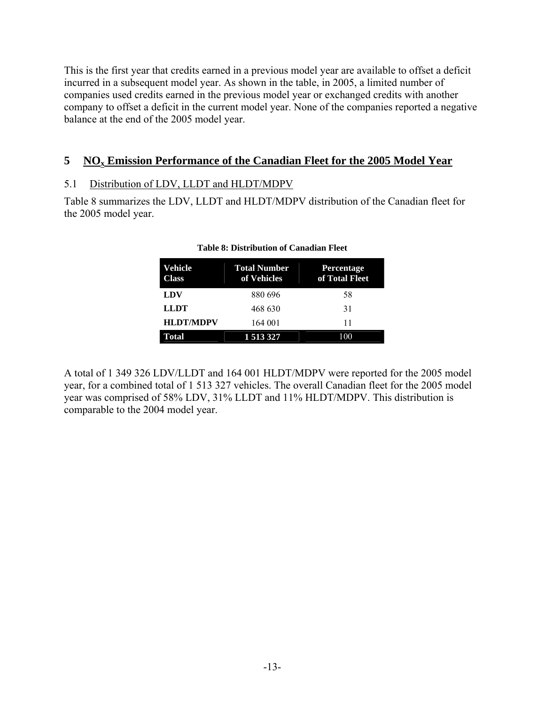This is the first year that credits earned in a previous model year are available to offset a deficit incurred in a subsequent model year. As shown in the table, in 2005, a limited number of companies used credits earned in the previous model year or exchanged credits with another company to offset a deficit in the current model year. None of the companies reported a negative balance at the end of the 2005 model year.

# **5 NOx Emission Performance of the Canadian Fleet for the 2005 Model Year**

## 5.1 Distribution of LDV, LLDT and HLDT/MDPV

Table 8 summarizes the LDV, LLDT and HLDT/MDPV distribution of the Canadian fleet for the 2005 model year.

| <b>Vehicle</b><br>Class | <b>Total Number</b><br>of Vehicles | <b>Percentage</b><br>of Total Fleet |
|-------------------------|------------------------------------|-------------------------------------|
| <b>LDV</b>              | 880 696                            | 58                                  |
| <b>LLDT</b>             | 468 630                            | 31                                  |
| <b>HLDT/MDPV</b>        | 164 001                            | 11                                  |
| <b>Total</b>            | 1 5 1 3 3 2 7                      | 100                                 |

#### **Table 8: Distribution of Canadian Fleet**

A total of 1 349 326 LDV/LLDT and 164 001 HLDT/MDPV were reported for the 2005 model year, for a combined total of 1 513 327 vehicles. The overall Canadian fleet for the 2005 model year was comprised of 58% LDV, 31% LLDT and 11% HLDT/MDPV. This distribution is comparable to the 2004 model year.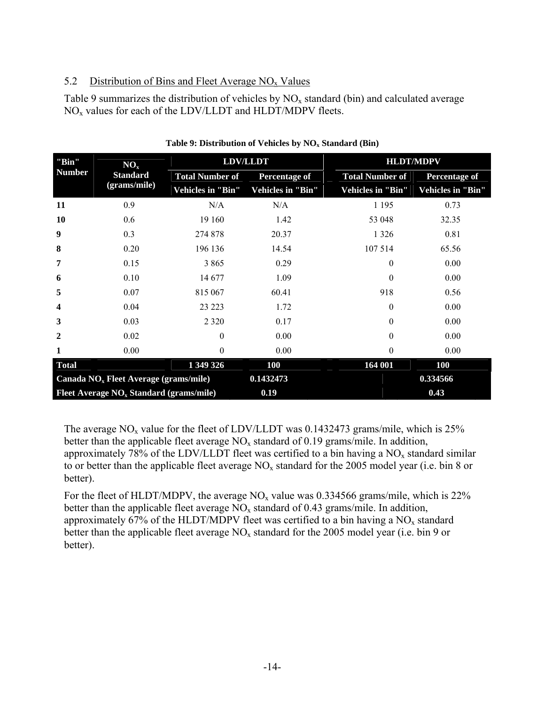## 5.2 Distribution of Bins and Fleet Average  $NO<sub>x</sub>$  Values

Table 9 summarizes the distribution of vehicles by  $NO<sub>x</sub>$  standard (bin) and calculated average  $NO<sub>x</sub>$  values for each of the LDV/LLDT and HLDT/MDPV fleets.

| "Bin"<br><b>Number</b>                    | NO <sub>x</sub><br><b>Standard</b><br>(grams/mile) | <b>LDV/LLDT</b>        |                      | <b>HLDT/MDPV</b>       |                      |
|-------------------------------------------|----------------------------------------------------|------------------------|----------------------|------------------------|----------------------|
|                                           |                                                    | <b>Total Number of</b> | <b>Percentage of</b> | <b>Total Number of</b> | <b>Percentage of</b> |
|                                           |                                                    | Vehicles in "Bin"      | Vehicles in "Bin"    | Vehicles in "Bin"      | Vehicles in "Bin"    |
| 11                                        | 0.9                                                | N/A                    | N/A                  | 1 1 9 5                | 0.73                 |
| 10                                        | 0.6                                                | 19 160                 | 1.42                 | 53 048                 | 32.35                |
| 9                                         | 0.3                                                | 274 878                | 20.37                | 1 3 2 6                | 0.81                 |
| 8                                         | 0.20                                               | 196 136                | 14.54                | 107 514                | 65.56                |
| 7                                         | 0.15                                               | 3865                   | 0.29                 | $\theta$               | 0.00                 |
| 6                                         | 0.10                                               | 14 677                 | 1.09                 | $\theta$               | 0.00                 |
| 5                                         | 0.07                                               | 815 067                | 60.41                | 918                    | 0.56                 |
| 4                                         | 0.04                                               | 23 223                 | 1.72                 | 0                      | 0.00                 |
| 3                                         | 0.03                                               | 2 3 2 0                | 0.17                 | $\theta$               | 0.00                 |
| 2                                         | 0.02                                               | $\Omega$               | 0.00                 | $\theta$               | 0.00                 |
| 1                                         | 0.00                                               | $\Omega$               | 0.00                 | $\boldsymbol{0}$       | 0.00                 |
| <b>Total</b>                              |                                                    | 1 349 326              | <b>100</b>           | 164 001                | <b>100</b>           |
| Canada $NOx$ Fleet Average (grams/mile)   |                                                    |                        | 0.1432473            |                        | 0.334566             |
| Fleet Average $NOx$ Standard (grams/mile) |                                                    |                        | 0.19                 |                        | 0.43                 |

#### Table 9: Distribution of Vehicles by NO<sub>x</sub> Standard (Bin)

The average  $NO<sub>x</sub>$  value for the fleet of LDV/LLDT was 0.1432473 grams/mile, which is 25% better than the applicable fleet average  $NO<sub>x</sub>$  standard of 0.19 grams/mile. In addition, approximately 78% of the LDV/LLDT fleet was certified to a bin having a  $NO<sub>x</sub>$  standard similar to or better than the applicable fleet average  $NO<sub>x</sub>$  standard for the 2005 model year (i.e. bin 8 or better).

For the fleet of HLDT/MDPV, the average  $NO<sub>x</sub>$  value was 0.334566 grams/mile, which is 22% better than the applicable fleet average  $NO<sub>x</sub>$  standard of 0.43 grams/mile. In addition, approximately 67% of the HLDT/MDPV fleet was certified to a bin having a  $NO<sub>x</sub>$  standard better than the applicable fleet average  $NO<sub>x</sub>$  standard for the 2005 model year (i.e. bin 9 or better).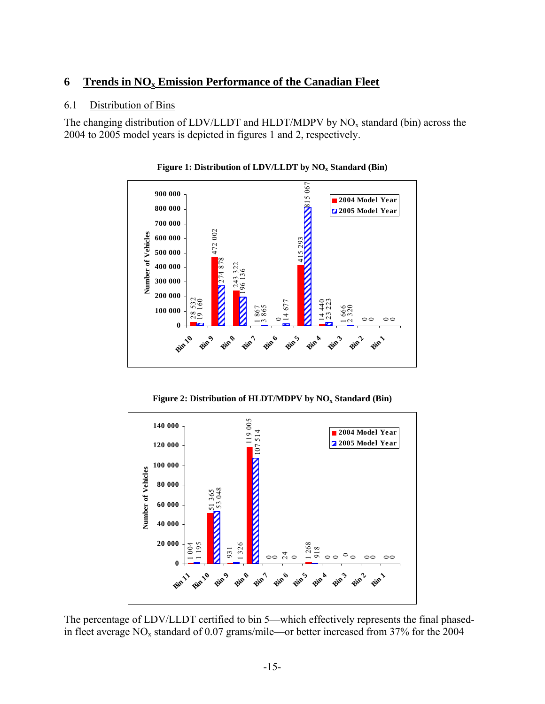## **6 Trends in NO<sub>x</sub> Emission Performance of the Canadian Fleet**

#### 6.1 Distribution of Bins

The changing distribution of LDV/LLDT and HLDT/MDPV by  $NO<sub>x</sub>$  standard (bin) across the 2004 to 2005 model years is depicted in figures 1 and 2, respectively.



Figure 1: Distribution of LDV/LLDT by NO<sub>x</sub> Standard (Bin)

Figure 2: Distribution of HLDT/MDPV by NO<sub>x</sub> Standard (Bin)



The percentage of LDV/LLDT certified to bin 5—which effectively represents the final phasedin fleet average  $NO_x$  standard of 0.07 grams/mile—or better increased from 37% for the 2004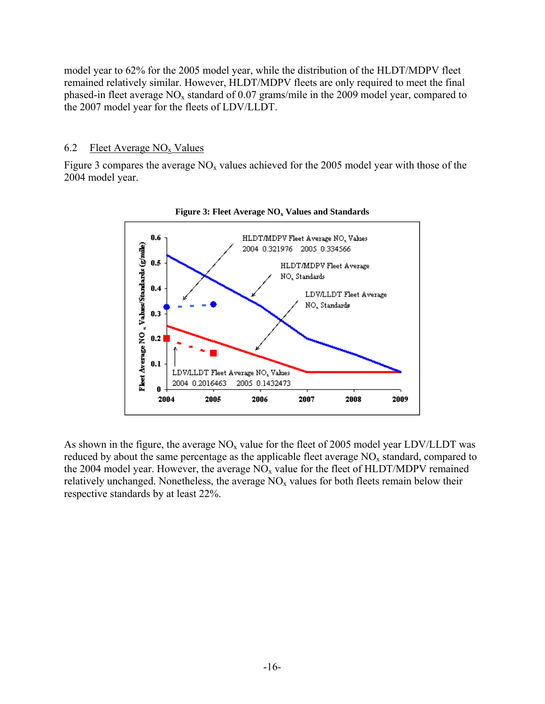model year to 62% for the 2005 model year, while the distribution of the HLDT/MDPV fleet remained relatively similar. However, HLDT/MDPV fleets are only required to meet the final phased-in fleet average  $NO<sub>x</sub>$  standard of 0.07 grams/mile in the 2009 model year, compared to the 2007 model year for the fleets of LDV/LLDT.

#### 6.2 Fleet Average  $NO<sub>x</sub>$  Values

Figure 3 compares the average  $NO<sub>x</sub>$  values achieved for the 2005 model year with those of the 2004 model year.





As shown in the figure, the average  $NO<sub>x</sub>$  value for the fleet of 2005 model year LDV/LLDT was reduced by about the same percentage as the applicable fleet average  $NO<sub>x</sub>$  standard, compared to the 2004 model year. However, the average  $NO<sub>x</sub>$  value for the fleet of HLDT/MDPV remained relatively unchanged. Nonetheless, the average  $NO<sub>x</sub>$  values for both fleets remain below their respective standards by at least 22%.